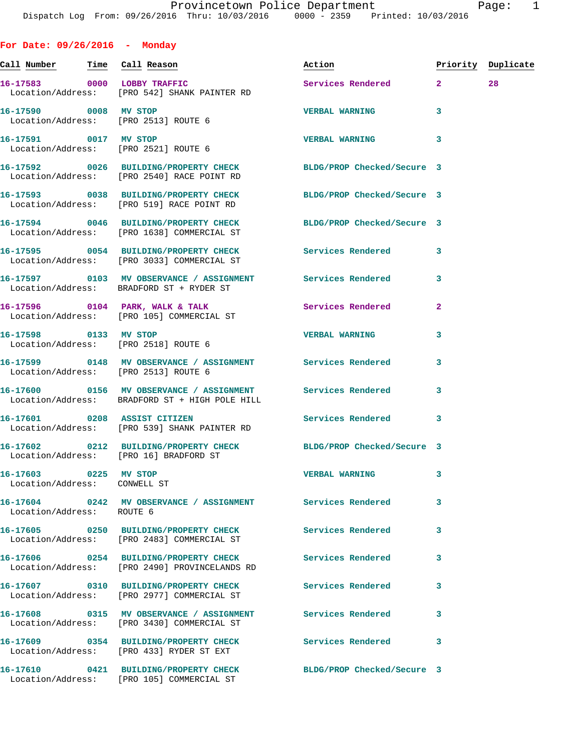**For Date: 09/26/2016 - Monday Call Number Time Call Reason Action Priority Duplicate 16-17583 0000 LOBBY TRAFFIC Services Rendered 2 28**  Location/Address: [PRO 542] SHANK PAINTER RD **16-17590 0008 MV STOP VERBAL WARNING 3**  Location/Address: [PRO 2513] ROUTE 6 **16-17591 0017 MV STOP VERBAL WARNING 3**  Location/Address: [PRO 2521] ROUTE 6 **16-17592 0026 BUILDING/PROPERTY CHECK BLDG/PROP Checked/Secure 3**  Location/Address: [PRO 2540] RACE POINT RD **16-17593 0038 BUILDING/PROPERTY CHECK BLDG/PROP Checked/Secure 3**  Location/Address: [PRO 519] RACE POINT RD **16-17594 0046 BUILDING/PROPERTY CHECK BLDG/PROP Checked/Secure 3**  Location/Address: [PRO 1638] COMMERCIAL ST **16-17595 0054 BUILDING/PROPERTY CHECK Services Rendered 3**  Location/Address: [PRO 3033] COMMERCIAL ST **16-17597 0103 MV OBSERVANCE / ASSIGNMENT Services Rendered 3**  Location/Address: BRADFORD ST + RYDER ST 16-17596 0104 PARK, WALK & TALK Services Rendered 2 Location/Address: [PRO 105] COMMERCIAL ST **16-17598 0133 MV STOP VERBAL WARNING 3**  Location/Address: [PRO 2518] ROUTE 6 **16-17599 0148 MV OBSERVANCE / ASSIGNMENT Services Rendered 3**  Location/Address: [PRO 2513] ROUTE 6 **16-17600 0156 MV OBSERVANCE / ASSIGNMENT Services Rendered 3**  Location/Address: BRADFORD ST + HIGH POLE HILL **16-17601 0208 ASSIST CITIZEN Services Rendered 3**  Location/Address: [PRO 539] SHANK PAINTER RD **16-17602 0212 BUILDING/PROPERTY CHECK BLDG/PROP Checked/Secure 3**  Location/Address: [PRO 16] BRADFORD ST **16-17603 0225 MV STOP VERBAL WARNING 3**  Location/Address: CONWELL ST **16-17604 0242 MV OBSERVANCE / ASSIGNMENT Services Rendered 3**  Location/Address: ROUTE 6 **16-17605 0250 BUILDING/PROPERTY CHECK Services Rendered 3**  Location/Address: [PRO 2483] COMMERCIAL ST **16-17606 0254 BUILDING/PROPERTY CHECK Services Rendered 3**  Location/Address: [PRO 2490] PROVINCELANDS RD **16-17607 0310 BUILDING/PROPERTY CHECK Services Rendered 3**  Location/Address: [PRO 2977] COMMERCIAL ST

**16-17608 0315 MV OBSERVANCE / ASSIGNMENT Services Rendered 3**  Location/Address: [PRO 3430] COMMERCIAL ST **16-17609 0354 BUILDING/PROPERTY CHECK Services Rendered 3**  Location/Address: [PRO 433] RYDER ST EXT **16-17610 0421 BUILDING/PROPERTY CHECK BLDG/PROP Checked/Secure 3** 

Location/Address: [PRO 105] COMMERCIAL ST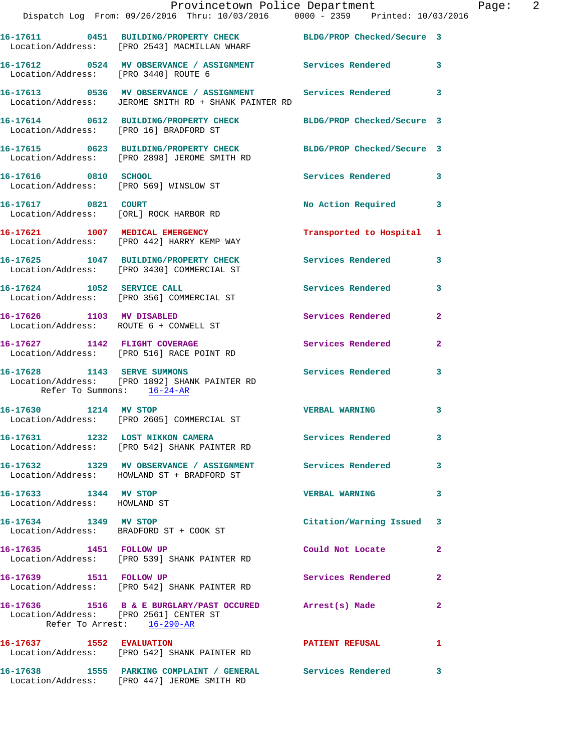|                                                                      | Provincetown Police Department<br>Dispatch Log From: 09/26/2016 Thru: 10/03/2016 0000 - 2359 Printed: 10/03/2016   |                           |                |
|----------------------------------------------------------------------|--------------------------------------------------------------------------------------------------------------------|---------------------------|----------------|
|                                                                      | 16-17611 0451 BUILDING/PROPERTY CHECK BLDG/PROP Checked/Secure 3<br>Location/Address: [PRO 2543] MACMILLAN WHARF   |                           |                |
| Location/Address: [PRO 3440] ROUTE 6                                 | 16-17612 0524 MV OBSERVANCE / ASSIGNMENT Services Rendered                                                         |                           | 3              |
|                                                                      | 16-17613 0536 MV OBSERVANCE / ASSIGNMENT Services Rendered<br>Location/Address: JEROME SMITH RD + SHANK PAINTER RD |                           | 3              |
|                                                                      | 16-17614 0612 BUILDING/PROPERTY CHECK BLDG/PROP Checked/Secure 3<br>Location/Address: [PRO 16] BRADFORD ST         |                           |                |
|                                                                      | 16-17615 0623 BUILDING/PROPERTY CHECK BLDG/PROP Checked/Secure 3<br>Location/Address: [PRO 2898] JEROME SMITH RD   |                           |                |
| 16-17616 0810 SCHOOL                                                 | Location/Address: [PRO 569] WINSLOW ST                                                                             | Services Rendered         | 3              |
| 16-17617 0821 COURT                                                  | Location/Address: [ORL] ROCK HARBOR RD                                                                             | <b>No Action Required</b> | 3              |
|                                                                      | 16-17621 1007 MEDICAL EMERGENCY<br>Location/Address: [PRO 442] HARRY KEMP WAY                                      | Transported to Hospital   | 1              |
|                                                                      | 16-17625 1047 BUILDING/PROPERTY CHECK<br>Location/Address: [PRO 3430] COMMERCIAL ST                                | Services Rendered         | 3              |
|                                                                      | 16-17624 1052 SERVICE CALL<br>Location/Address: [PRO 356] COMMERCIAL ST                                            | Services Rendered         | 3              |
|                                                                      | 16-17626 1103 MV DISABLED<br>Location/Address: ROUTE 6 + CONWELL ST                                                | Services Rendered         | $\overline{a}$ |
|                                                                      | 16-17627 1142 FLIGHT COVERAGE<br>Location/Address: [PRO 516] RACE POINT RD                                         | Services Rendered         | $\mathbf{2}$   |
| Refer To Summons: 16-24-AR                                           | 16-17628 1143 SERVE SUMMONS<br>Location/Address: [PRO 1892] SHANK PAINTER RD                                       | Services Rendered         | 3              |
|                                                                      | 16-17630 1214 MV STOP<br>Location/Address: [PRO 2605] COMMERCIAL ST                                                | <b>VERBAL WARNING</b>     | 3              |
|                                                                      | 16-17631 1232 LOST NIKKON CAMERA<br>Location/Address: [PRO 542] SHANK PAINTER RD                                   | Services Rendered         | 3              |
|                                                                      | 16-17632 1329 MV OBSERVANCE / ASSIGNMENT Services Rendered<br>Location/Address: HOWLAND ST + BRADFORD ST           |                           | 3              |
| 16-17633 1344 MV STOP<br>Location/Address: HOWLAND ST                |                                                                                                                    | <b>VERBAL WARNING</b>     | 3              |
| 16-17634 1349 MV STOP                                                | Location/Address: BRADFORD ST + COOK ST                                                                            | Citation/Warning Issued   | 3              |
| 16-17635 1451 FOLLOW UP                                              | Location/Address: [PRO 539] SHANK PAINTER RD                                                                       | Could Not Locate          | $\mathbf{2}$   |
| 16-17639 1511 FOLLOW UP                                              | Location/Address: [PRO 542] SHANK PAINTER RD                                                                       | <b>Services Rendered</b>  | $\mathbf{2}$   |
| Location/Address: [PRO 2561] CENTER ST<br>Refer To Arrest: 16-290-AR | 16-17636 1516 B & E BURGLARY/PAST OCCURED Arrest(s) Made                                                           |                           | $\mathbf{2}$   |
|                                                                      | 16-17637 1552 EVALUATION<br>Location/Address: [PRO 542] SHANK PAINTER RD                                           | <b>PATIENT REFUSAL</b>    | 1              |
|                                                                      | 16-17638 1555 PARKING COMPLAINT / GENERAL Services Rendered<br>Location/Address: [PRO 447] JEROME SMITH RD         |                           | 3              |

Page:  $2$ <br> $(16)$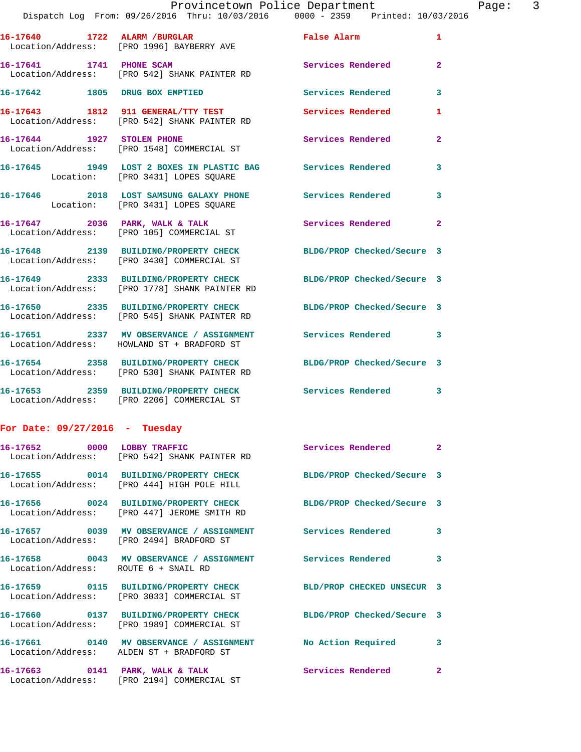|                                      | 16-17640 1722 ALARM / BURGLAR<br>Location/Address: [PRO 1996] BAYBERRY AVE                              | False Alarm                | $\mathbf{1}$            |
|--------------------------------------|---------------------------------------------------------------------------------------------------------|----------------------------|-------------------------|
|                                      | 16-17641 1741 PHONE SCAM<br>Location/Address: [PRO 542] SHANK PAINTER RD                                | <b>Services Rendered</b>   | $\overline{2}$          |
|                                      | 16-17642 1805 DRUG BOX EMPTIED                                                                          | Services Rendered          | 3                       |
|                                      | 16-17643 1812 911 GENERAL/TTY TEST<br>Location/Address: [PRO 542] SHANK PAINTER RD                      | Services Rendered          | 1                       |
| 16-17644 1927 STOLEN PHONE           | Location/Address: [PRO 1548] COMMERCIAL ST                                                              | Services Rendered          | $\overline{a}$          |
|                                      | 16-17645 1949 LOST 2 BOXES IN PLASTIC BAG Services Rendered<br>Location: [PRO 3431] LOPES SQUARE        |                            | 3                       |
|                                      | 16-17646 2018 LOST SAMSUNG GALAXY PHONE Services Rendered<br>Location: [PRO 3431] LOPES SQUARE          |                            | 3                       |
|                                      | 16-17647 2036 PARK, WALK & TALK<br>Location/Address: [PRO 105] COMMERCIAL ST                            | Services Rendered          | $\overline{2}$          |
|                                      | 16-17648 2139 BUILDING/PROPERTY CHECK<br>Location/Address: [PRO 3430] COMMERCIAL ST                     | BLDG/PROP Checked/Secure 3 |                         |
|                                      | 16-17649 2333 BUILDING/PROPERTY CHECK<br>Location/Address: [PRO 1778] SHANK PAINTER RD                  | BLDG/PROP Checked/Secure 3 |                         |
|                                      | 16-17650 2335 BUILDING/PROPERTY CHECK<br>Location/Address: [PRO 545] SHANK PAINTER RD                   | BLDG/PROP Checked/Secure 3 |                         |
|                                      | 16-17651 2337 MV OBSERVANCE / ASSIGNMENT<br>Location/Address: HOWLAND ST + BRADFORD ST                  | <b>Services Rendered</b>   | $\overline{\mathbf{3}}$ |
|                                      | 16-17654 2358 BUILDING/PROPERTY CHECK<br>Location/Address: [PRO 530] SHANK PAINTER RD                   | BLDG/PROP Checked/Secure 3 |                         |
|                                      | 16-17653 2359 BUILDING/PROPERTY CHECK<br>Location/Address: [PRO 2206] COMMERCIAL ST                     | Services Rendered 3        |                         |
| For Date: $09/27/2016$ - Tuesday     |                                                                                                         |                            |                         |
| 16-17652 0000 LOBBY TRAFFIC          | Location/Address: [PRO 542] SHANK PAINTER RD                                                            | <b>Services Rendered</b> 2 |                         |
|                                      | 16-17655 0014 BUILDING/PROPERTY CHECK<br>Location/Address: [PRO 444] HIGH POLE HILL                     | BLDG/PROP Checked/Secure 3 |                         |
|                                      | 16-17656 0024 BUILDING/PROPERTY CHECK<br>Location/Address: [PRO 447] JEROME SMITH RD                    | BLDG/PROP Checked/Secure 3 |                         |
|                                      | 16-17657 0039 MV OBSERVANCE / ASSIGNMENT Services Rendered<br>Location/Address: [PRO 2494] BRADFORD ST  |                            | 3                       |
| Location/Address: ROUTE 6 + SNAIL RD | 16-17658 0043 MV OBSERVANCE / ASSIGNMENT Services Rendered                                              |                            | 3                       |
|                                      | 16-17659 0115 BUILDING/PROPERTY CHECK<br>Location/Address: [PRO 3033] COMMERCIAL ST                     | BLD/PROP CHECKED UNSECUR 3 |                         |
|                                      | 16-17660 0137 BUILDING/PROPERTY CHECK<br>Location/Address: [PRO 1989] COMMERCIAL ST                     | BLDG/PROP Checked/Secure 3 |                         |
|                                      | 16-17661 0140 MV OBSERVANCE / ASSIGNMENT No Action Required<br>Location/Address: ALDEN ST + BRADFORD ST |                            | 3                       |
|                                      | 16-17663 0141 PARK, WALK & TALK<br>Location/Address: [PRO 2194] COMMERCIAL ST                           | Services Rendered          | $\mathbf{2}$            |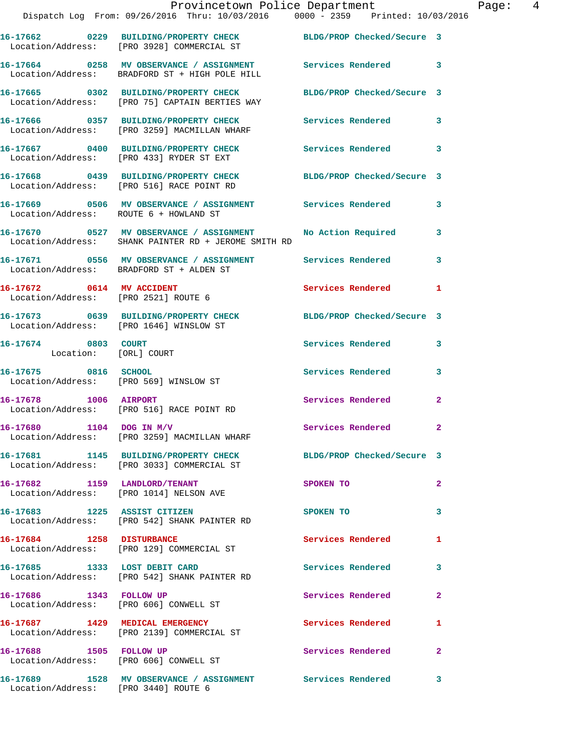|                                                                   | Provincetown Police Department<br>Dispatch Log From: 09/26/2016 Thru: 10/03/2016 0000 - 2359 Printed: 10/03/2016    |                            |                |
|-------------------------------------------------------------------|---------------------------------------------------------------------------------------------------------------------|----------------------------|----------------|
|                                                                   | 16-17662 0229 BUILDING/PROPERTY CHECK BLDG/PROP Checked/Secure 3<br>Location/Address: [PRO 3928] COMMERCIAL ST      |                            |                |
|                                                                   | 16-17664 0258 MV OBSERVANCE / ASSIGNMENT Services Rendered 3<br>Location/Address: BRADFORD ST + HIGH POLE HILL      |                            |                |
|                                                                   | 16-17665 0302 BUILDING/PROPERTY CHECK<br>Location/Address: [PRO 75] CAPTAIN BERTIES WAY                             | BLDG/PROP Checked/Secure 3 |                |
|                                                                   | 16-17666 0357 BUILDING/PROPERTY CHECK Services Rendered<br>Location/Address: [PRO 3259] MACMILLAN WHARF             |                            | 3              |
|                                                                   | 16-17667 0400 BUILDING/PROPERTY CHECK<br>Location/Address: [PRO 433] RYDER ST EXT                                   | Services Rendered          | 3              |
|                                                                   | 16-17668 0439 BUILDING/PROPERTY CHECK BLDG/PROP Checked/Secure 3<br>Location/Address: [PRO 516] RACE POINT RD       |                            |                |
| Location/Address: ROUTE 6 + HOWLAND ST                            | 16-17669 0506 MV OBSERVANCE / ASSIGNMENT Services Rendered                                                          |                            | 3              |
|                                                                   | 16-17670 0527 MV OBSERVANCE / ASSIGNMENT No Action Required<br>Location/Address: SHANK PAINTER RD + JEROME SMITH RD |                            | 3              |
|                                                                   | 16-17671 0556 MV OBSERVANCE / ASSIGNMENT Services Rendered<br>Location/Address: BRADFORD ST + ALDEN ST              |                            | 3              |
| 16-17672 0614 MV ACCIDENT<br>Location/Address: [PRO 2521] ROUTE 6 |                                                                                                                     | Services Rendered          | 1              |
| Location/Address: [PRO 1646] WINSLOW ST                           | 16-17673 0639 BUILDING/PROPERTY CHECK                                                                               | BLDG/PROP Checked/Secure 3 |                |
| 16-17674 0803 COURT<br>Location: [ORL] COURT                      |                                                                                                                     | Services Rendered          | 3              |
| 16-17675 0816 SCHOOL                                              | Location/Address: [PRO 569] WINSLOW ST                                                                              | <b>Services Rendered</b>   | 3              |
|                                                                   | 16-17678 1006 AIRPORT<br>Location/Address: [PRO 516] RACE POINT RD                                                  | Services Rendered          | $\mathbf{2}$   |
| $16-17680$ 1104 DOG IN M/V                                        | Location/Address: [PRO 3259] MACMILLAN WHARF                                                                        | Services Rendered 2        |                |
|                                                                   | 16-17681 1145 BUILDING/PROPERTY CHECK BLDG/PROP Checked/Secure 3<br>Location/Address: [PRO 3033] COMMERCIAL ST      |                            |                |
| 16-17682 1159 LANDLORD/TENANT                                     | Location/Address: [PRO 1014] NELSON AVE                                                                             | SPOKEN TO                  | $\overline{2}$ |
|                                                                   | 16-17683 1225 ASSIST CITIZEN<br>Location/Address: [PRO 542] SHANK PAINTER RD                                        | SPOKEN TO                  | 3              |
| 16-17684 1258 DISTURBANCE                                         | Location/Address: [PRO 129] COMMERCIAL ST                                                                           | Services Rendered          | 1              |
|                                                                   | 16-17685 1333 LOST DEBIT CARD<br>Location/Address: [PRO 542] SHANK PAINTER RD                                       | <b>Services Rendered</b>   | 3              |
| 16-17686 1343 FOLLOW UP                                           | Location/Address: [PRO 606] CONWELL ST                                                                              | Services Rendered          | $\mathbf{2}$   |
|                                                                   | 16-17687 1429 MEDICAL EMERGENCY<br>Location/Address: [PRO 2139] COMMERCIAL ST                                       | Services Rendered          | 1              |
| 16-17688 1505 FOLLOW UP                                           | Location/Address: [PRO 606] CONWELL ST                                                                              | Services Rendered          | $\mathbf{2}$   |
|                                                                   |                                                                                                                     |                            | 3              |

Location/Address: [PRO 3440] ROUTE 6

Page: 4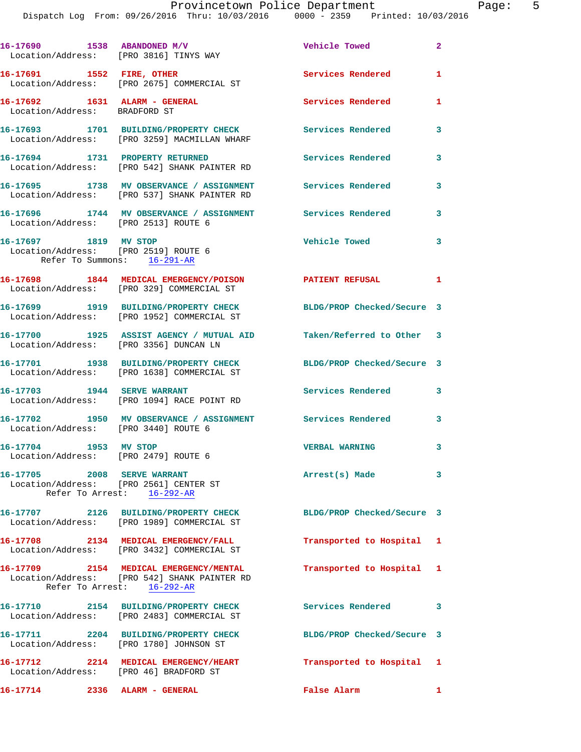Dispatch Log From: 09/26/2016 Thru: 10/03/2016 0000 - 2359 Printed: 10/03/2016

| 16-17690 1538 ABANDONED M/V                                           | Location/Address: [PRO 3816] TINYS WAY                                                                               | Vehicle Towed              | $\mathbf{2}$   |
|-----------------------------------------------------------------------|----------------------------------------------------------------------------------------------------------------------|----------------------------|----------------|
|                                                                       | 16-17691 1552 FIRE, OTHER<br>Location/Address: [PRO 2675] COMMERCIAL ST                                              | <b>Services Rendered</b>   | $\mathbf{1}$   |
| 16-17692 1631 ALARM - GENERAL<br>Location/Address: BRADFORD ST        |                                                                                                                      | <b>Services Rendered</b>   | 1              |
|                                                                       | 16-17693 1701 BUILDING/PROPERTY CHECK<br>Location/Address: [PRO 3259] MACMILLAN WHARF                                | <b>Services Rendered</b>   | 3              |
| 16-17694 1731 PROPERTY RETURNED                                       | Location/Address: [PRO 542] SHANK PAINTER RD                                                                         | Services Rendered          | 3              |
|                                                                       | 16-17695 1738 MV OBSERVANCE / ASSIGNMENT<br>Location/Address: [PRO 537] SHANK PAINTER RD                             | Services Rendered          | 3              |
| Location/Address: [PRO 2513] ROUTE 6                                  | 16-17696 1744 MV OBSERVANCE / ASSIGNMENT Services Rendered                                                           |                            | 3              |
| 16-17697 1819 MV STOP                                                 | Location/Address: [PRO 2519] ROUTE 6<br>Refer To Summons: $16-291-AR$                                                | <b>Vehicle Towed</b>       | 3              |
|                                                                       | 16-17698 1844 MEDICAL EMERGENCY/POISON PATIENT REFUSAL<br>Location/Address: [PRO 329] COMMERCIAL ST                  |                            | $\blacksquare$ |
|                                                                       | 16-17699 1919 BUILDING/PROPERTY CHECK BLDG/PROP Checked/Secure 3<br>Location/Address: [PRO 1952] COMMERCIAL ST       |                            |                |
|                                                                       | 16-17700 1925 ASSIST AGENCY / MUTUAL AID Taken/Referred to Other 3<br>Location/Address: [PRO 3356] DUNCAN LN         |                            |                |
|                                                                       | 16-17701 1938 BUILDING/PROPERTY CHECK BLDG/PROP Checked/Secure 3<br>Location/Address: [PRO 1638] COMMERCIAL ST       |                            |                |
|                                                                       | 16-17703 1944 SERVE WARRANT<br>Location/Address: [PRO 1094] RACE POINT RD                                            | Services Rendered          | 3              |
| Location/Address: [PRO 3440] ROUTE 6                                  | 16-17702 1950 MV OBSERVANCE / ASSIGNMENT Services Rendered                                                           |                            | 3              |
| 16-17704 1953 MV STOP<br>Location/Address: [PRO 2479] ROUTE 6         |                                                                                                                      | <b>VERBAL WARNING</b>      | 3              |
| 16-17705 2008 SERVE WARRANT<br>Location/Address: [PRO 2561] CENTER ST | Refer To Arrest: 16-292-AR                                                                                           | Arrest(s) Made             | 3              |
|                                                                       | 16-17707 2126 BUILDING/PROPERTY CHECK<br>Location/Address: [PRO 1989] COMMERCIAL ST                                  | BLDG/PROP Checked/Secure 3 |                |
|                                                                       | 16-17708 2134 MEDICAL EMERGENCY/FALL<br>Location/Address: [PRO 3432] COMMERCIAL ST                                   | Transported to Hospital 1  |                |
|                                                                       | 16-17709 2154 MEDICAL EMERGENCY/MENTAL<br>Location/Address: [PRO 542] SHANK PAINTER RD<br>Refer To Arrest: 16-292-AR | Transported to Hospital 1  |                |
|                                                                       | 16-17710 2154 BUILDING/PROPERTY CHECK<br>Location/Address: [PRO 2483] COMMERCIAL ST                                  | Services Rendered 3        |                |
|                                                                       | 16-17711 2204 BUILDING/PROPERTY CHECK<br>Location/Address: [PRO 1780] JOHNSON ST                                     | BLDG/PROP Checked/Secure 3 |                |
| Location/Address: [PRO 46] BRADFORD ST                                | 16-17712 2214 MEDICAL EMERGENCY/HEART                                                                                | Transported to Hospital 1  |                |
| 16-17714                                                              | 2336 ALARM - GENERAL                                                                                                 | False Alarm                | $\mathbf{1}$   |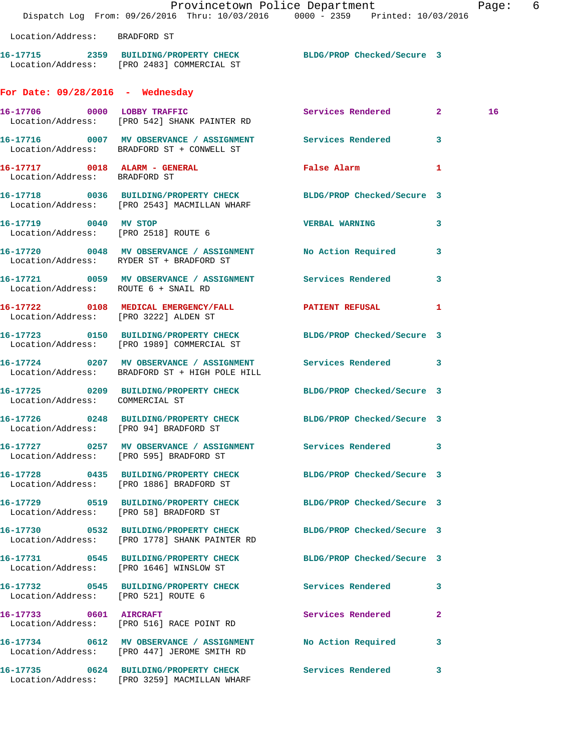|                                        |                                                                                                                   | Provincetown Police Department<br>Dispatch Log From: 09/26/2016 Thru: 10/03/2016 0000 - 2359 Printed: 10/03/2016 | Page: 6 |  |
|----------------------------------------|-------------------------------------------------------------------------------------------------------------------|------------------------------------------------------------------------------------------------------------------|---------|--|
| Location/Address: BRADFORD ST          |                                                                                                                   |                                                                                                                  |         |  |
|                                        | 16-17715 2359 BUILDING/PROPERTY CHECK BLDG/PROP Checked/Secure 3<br>Location/Address: [PRO 2483] COMMERCIAL ST    |                                                                                                                  |         |  |
| For Date: $09/28/2016$ - Wednesday     |                                                                                                                   |                                                                                                                  |         |  |
|                                        | 16-17706 0000 LOBBY TRAFFIC<br>Location/Address: [PRO 542] SHANK PAINTER RD                                       | Services Rendered 2                                                                                              | 16      |  |
|                                        | 16-17716 0007 MV OBSERVANCE / ASSIGNMENT Services Rendered 3<br>Location/Address: BRADFORD ST + CONWELL ST        |                                                                                                                  |         |  |
| Location/Address: BRADFORD ST          | 16-17717 0018 ALARM - GENERAL False Alarm                                                                         | 1                                                                                                                |         |  |
|                                        | 16-17718 0036 BUILDING/PROPERTY CHECK BLDG/PROP Checked/Secure 3<br>Location/Address: [PRO 2543] MACMILLAN WHARF  |                                                                                                                  |         |  |
| 16-17719 0040 MV STOP                  | Location/Address: [PRO 2518] ROUTE 6                                                                              | VERBAL WARNING 3                                                                                                 |         |  |
|                                        | 16-17720 0048 MV OBSERVANCE / ASSIGNMENT No Action Required 3<br>Location/Address: RYDER ST + BRADFORD ST         |                                                                                                                  |         |  |
| Location/Address: ROUTE 6 + SNAIL RD   | 16-17721 0059 MV OBSERVANCE / ASSIGNMENT Services Rendered                                                        | 3                                                                                                                |         |  |
| Location/Address: [PRO 3222] ALDEN ST  | 16-17722 0108 MEDICAL EMERGENCY/FALL <b>FATIENT REFUSAL</b>                                                       | $\mathbf{1}$                                                                                                     |         |  |
|                                        | 16-17723 0150 BUILDING/PROPERTY CHECK BLDG/PROP Checked/Secure 3<br>Location/Address: [PRO 1989] COMMERCIAL ST    |                                                                                                                  |         |  |
|                                        | 16-17724 0207 MV OBSERVANCE / ASSIGNMENT Services Rendered 3<br>Location/Address: BRADFORD ST + HIGH POLE HILL    |                                                                                                                  |         |  |
| Location/Address: COMMERCIAL ST        | 16-17725 0209 BUILDING/PROPERTY CHECK BLDG/PROP Checked/Secure 3                                                  |                                                                                                                  |         |  |
| Location/Address: [PRO 94] BRADFORD ST | 16-17726 0248 BUILDING/PROPERTY CHECK BLDG/PROP Checked/Secure 3                                                  |                                                                                                                  |         |  |
|                                        | 16-17727 0257 MV OBSERVANCE / ASSIGNMENT Services Rendered 3<br>Location/Address: [PRO 595] BRADFORD ST           |                                                                                                                  |         |  |
|                                        | 16-17728 0435 BUILDING/PROPERTY CHECK BLDG/PROP Checked/Secure 3<br>Location/Address: [PRO 1886] BRADFORD ST      |                                                                                                                  |         |  |
|                                        | 16-17729 0519 BUILDING/PROPERTY CHECK BLDG/PROP Checked/Secure 3<br>Location/Address: [PRO 58] BRADFORD ST        |                                                                                                                  |         |  |
|                                        | 16-17730 0532 BUILDING/PROPERTY CHECK BLDG/PROP Checked/Secure 3<br>Location/Address: [PRO 1778] SHANK PAINTER RD |                                                                                                                  |         |  |
|                                        | 16-17731 0545 BUILDING/PROPERTY CHECK BLDG/PROP Checked/Secure 3<br>Location/Address: [PRO 1646] WINSLOW ST       |                                                                                                                  |         |  |
| Location/Address: [PRO 521] ROUTE 6    | 16-17732 0545 BUILDING/PROPERTY CHECK Services Rendered 3                                                         |                                                                                                                  |         |  |
|                                        | 16-17733 0601 AIRCRAFT<br>Location/Address: [PRO 516] RACE POINT RD                                               | Services Rendered 2                                                                                              |         |  |
|                                        | 16-17734 0612 MV OBSERVANCE / ASSIGNMENT No Action Required 3<br>Location/Address: [PRO 447] JEROME SMITH RD      |                                                                                                                  |         |  |
|                                        | 16-17735 0624 BUILDING/PROPERTY CHECK Services Rendered 3<br>Location/Address: [PRO 3259] MACMILLAN WHARF         |                                                                                                                  |         |  |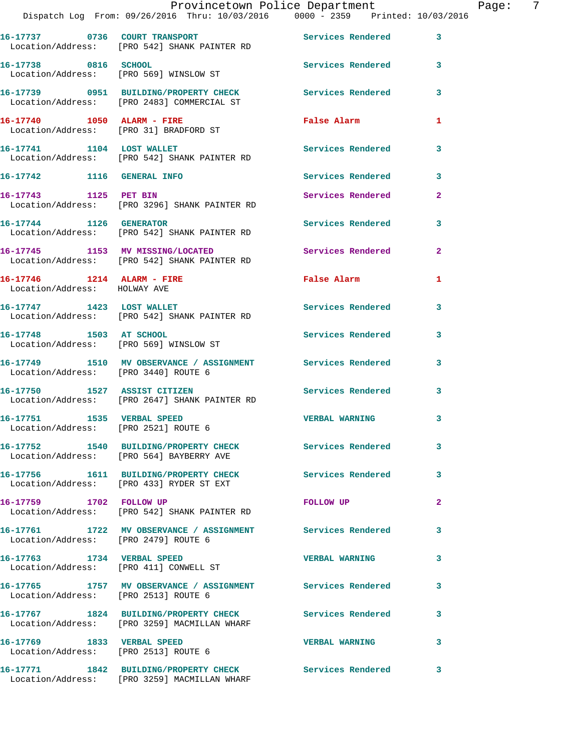|                                                                    | Dispatch Log From: 09/26/2016 Thru: 10/03/2016 0000 - 2359 Printed: 10/03/2016                            | Provincetown Police Department                      |              | Page: 7 |  |
|--------------------------------------------------------------------|-----------------------------------------------------------------------------------------------------------|-----------------------------------------------------|--------------|---------|--|
|                                                                    | 16-17737 0736 COURT TRANSPORT No Services Rendered 3<br>Location/Address: [PRO 542] SHANK PAINTER RD      |                                                     |              |         |  |
| 16-17738 0816 SCHOOL                                               | Location/Address: [PRO 569] WINSLOW ST                                                                    | Services Rendered 3                                 |              |         |  |
|                                                                    | 16-17739 0951 BUILDING/PROPERTY CHECK Services Rendered 3<br>Location/Address: [PRO 2483] COMMERCIAL ST   |                                                     |              |         |  |
|                                                                    | 16-17740 1050 ALARM - FIRE<br>Location/Address: [PRO 31] BRADFORD ST                                      | <b>False Alarm</b>                                  | $\mathbf{1}$ |         |  |
|                                                                    | 16-17741 1104 LOST WALLET<br>Location/Address: [PRO 542] SHANK PAINTER RD                                 | Services Rendered                                   | $\mathbf{3}$ |         |  |
|                                                                    | 16-17742 1116 GENERAL INFO                                                                                | Services Rendered 3                                 |              |         |  |
|                                                                    | 16-17743 1125 PET BIN<br>Location/Address: [PRO 3296] SHANK PAINTER RD                                    | Services Rendered                                   | $\mathbf{2}$ |         |  |
| 16-17744 1126 GENERATOR                                            | Location/Address: [PRO 542] SHANK PAINTER RD                                                              | Services Rendered 3                                 |              |         |  |
|                                                                    | 16-17745 1153 MV MISSING/LOCATED<br>Location/Address: [PRO 542] SHANK PAINTER RD                          | <b>Services Rendered</b>                            | $\mathbf{2}$ |         |  |
| Location/Address: HOLWAY AVE                                       | 16-17746 1214 ALARM - FIRE                                                                                | False Alarm <b>Exercise Service Service Service</b> | 1            |         |  |
|                                                                    | 16-17747 1423 LOST WALLET<br>Location/Address: [PRO 542] SHANK PAINTER RD                                 | Services Rendered                                   | 3            |         |  |
| 16-17748 1503 AT SCHOOL                                            | Location/Address: [PRO 569] WINSLOW ST                                                                    | Services Rendered 3                                 |              |         |  |
|                                                                    | 16-17749 1510 MV OBSERVANCE / ASSIGNMENT Services Rendered<br>Location/Address: [PRO 3440] ROUTE 6        |                                                     | $\mathbf{3}$ |         |  |
|                                                                    | 16-17750 1527 ASSIST CITIZEN<br>Location/Address: [PRO 2647] SHANK PAINTER RD                             | Services Rendered                                   | 3            |         |  |
| 16-17751 1535 VERBAL SPEED<br>Location/Address: [PRO 2521] ROUTE 6 |                                                                                                           | <b>VERBAL WARNING</b>                               | 3            |         |  |
|                                                                    | 16-17752 1540 BUILDING/PROPERTY CHECK Services Rendered<br>Location/Address: [PRO 564] BAYBERRY AVE       |                                                     | 3            |         |  |
|                                                                    | 16-17756 1611 BUILDING/PROPERTY CHECK Services Rendered 3<br>Location/Address: [PRO 433] RYDER ST EXT     |                                                     |              |         |  |
| 16-17759 1702 FOLLOW UP                                            | Location/Address: [PRO 542] SHANK PAINTER RD                                                              | <b>FOLLOW UP</b>                                    | $\mathbf{2}$ |         |  |
| Location/Address: [PRO 2479] ROUTE 6                               | 16-17761 1722 MV OBSERVANCE / ASSIGNMENT Services Rendered                                                |                                                     | 3            |         |  |
|                                                                    | 16-17763 1734 VERBAL SPEED<br>Location/Address: [PRO 411] CONWELL ST                                      | <b>VERBAL WARNING</b>                               | 3            |         |  |
| Location/Address: [PRO 2513] ROUTE 6                               | 16-17765 1757 MV OBSERVANCE / ASSIGNMENT Services Rendered                                                |                                                     | 3            |         |  |
|                                                                    | 16-17767 1824 BUILDING/PROPERTY CHECK Services Rendered 3<br>Location/Address: [PRO 3259] MACMILLAN WHARF |                                                     |              |         |  |
| Location/Address: [PRO 2513] ROUTE 6                               | 16-17769 1833 VERBAL SPEED                                                                                | <b>VERBAL WARNING</b>                               | 3            |         |  |
|                                                                    | 16-17771 1842 BUILDING/PROPERTY CHECK Services Rendered 3                                                 |                                                     |              |         |  |

Location/Address: [PRO 3259] MACMILLAN WHARF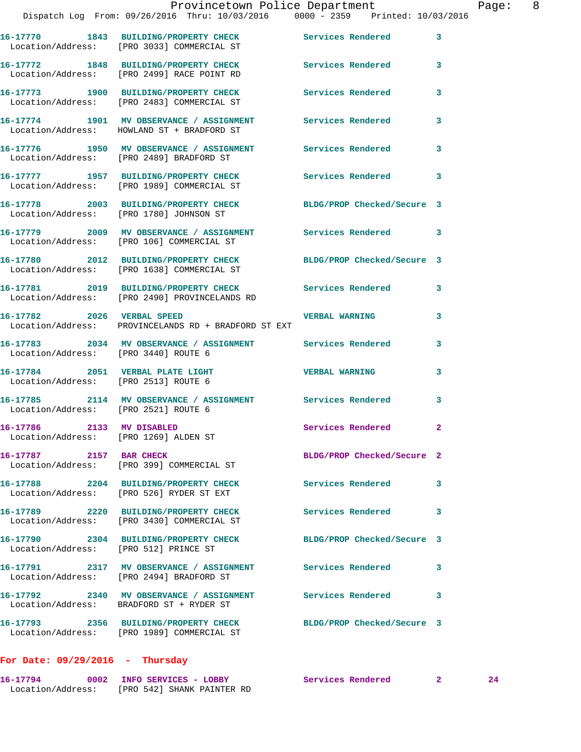|                                                                    | Provincetown Police Department                                                                                 |                            |              | Page: 8 |  |
|--------------------------------------------------------------------|----------------------------------------------------------------------------------------------------------------|----------------------------|--------------|---------|--|
|                                                                    | Dispatch Log From: 09/26/2016 Thru: 10/03/2016 0000 - 2359 Printed: 10/03/2016                                 |                            |              |         |  |
|                                                                    | 16-17770 1843 BUILDING/PROPERTY CHECK Services Rendered 3<br>Location/Address: [PRO 3033] COMMERCIAL ST        |                            |              |         |  |
|                                                                    | 16-17772 1848 BUILDING/PROPERTY CHECK Services Rendered 3<br>Location/Address: [PRO 2499] RACE POINT RD        |                            |              |         |  |
|                                                                    | 16-17773 1900 BUILDING/PROPERTY CHECK Services Rendered<br>Location/Address: [PRO 2483] COMMERCIAL ST          |                            | $\mathbf{3}$ |         |  |
|                                                                    | 16-17774 1901 MV OBSERVANCE / ASSIGNMENT Services Rendered<br>Location/Address: HOWLAND ST + BRADFORD ST       |                            | $\mathbf{3}$ |         |  |
|                                                                    | 16-17776 1950 MV OBSERVANCE / ASSIGNMENT Services Rendered 3<br>Location/Address: [PRO 2489] BRADFORD ST       |                            |              |         |  |
|                                                                    | 16-17777 1957 BUILDING/PROPERTY CHECK Services Rendered<br>Location/Address: [PRO 1989] COMMERCIAL ST          |                            | 3            |         |  |
|                                                                    | 16-17778 2003 BUILDING/PROPERTY CHECK BLDG/PROP Checked/Secure 3<br>Location/Address: [PRO 1780] JOHNSON ST    |                            |              |         |  |
|                                                                    | 16-17779 2009 MV OBSERVANCE / ASSIGNMENT Services Rendered 3<br>Location/Address: [PRO 106] COMMERCIAL ST      |                            |              |         |  |
|                                                                    | 16-17780 2012 BUILDING/PROPERTY CHECK BLDG/PROP Checked/Secure 3<br>Location/Address: [PRO 1638] COMMERCIAL ST |                            |              |         |  |
|                                                                    | 16-17781 2019 BUILDING/PROPERTY CHECK Services Rendered<br>Location/Address: [PRO 2490] PROVINCELANDS RD       |                            | $\mathbf{3}$ |         |  |
|                                                                    | 16-17782 2026 VERBAL SPEED<br>Location/Address: PROVINCELANDS RD + BRADFORD ST EXT                             | <b>VERBAL WARNING</b>      | $\mathbf{3}$ |         |  |
| Location/Address: [PRO 3440] ROUTE 6                               | 16-17783 2034 MV OBSERVANCE / ASSIGNMENT Services Rendered                                                     |                            | 3            |         |  |
| Location/Address: [PRO 2513] ROUTE 6                               | 16-17784 2051 VERBAL PLATE LIGHT CHERE WERBAL WARNING                                                          |                            | 3            |         |  |
| Location/Address: [PRO 2521] ROUTE 6                               | 16-17785 2114 MV OBSERVANCE / ASSIGNMENT Services Rendered                                                     |                            | 3            |         |  |
| 16-17786 2133 MV DISABLED<br>Location/Address: [PRO 1269] ALDEN ST |                                                                                                                | Services Rendered          | 2            |         |  |
| 16-17787 2157 BAR CHECK                                            | Location/Address: [PRO 399] COMMERCIAL ST                                                                      | BLDG/PROP Checked/Secure 2 |              |         |  |
|                                                                    | 16-17788 2204 BUILDING/PROPERTY CHECK<br>Location/Address: [PRO 526] RYDER ST EXT                              | <b>Services Rendered</b>   | 3            |         |  |
|                                                                    | 16-17789 2220 BUILDING/PROPERTY CHECK<br>Location/Address: [PRO 3430] COMMERCIAL ST                            | <b>Services Rendered</b>   | 3            |         |  |
| Location/Address: [PRO 512] PRINCE ST                              | 16-17790 2304 BUILDING/PROPERTY CHECK BLDG/PROP Checked/Secure 3                                               |                            |              |         |  |
|                                                                    | 16-17791 2317 MV OBSERVANCE / ASSIGNMENT Services Rendered<br>Location/Address: [PRO 2494] BRADFORD ST         |                            | 3            |         |  |
|                                                                    | 16-17792 2340 MV OBSERVANCE / ASSIGNMENT Services Rendered<br>Location/Address: BRADFORD ST + RYDER ST         |                            | 3            |         |  |
|                                                                    | 16-17793 2356 BUILDING/PROPERTY CHECK<br>Location/Address: [PRO 1989] COMMERCIAL ST                            | BLDG/PROP Checked/Secure 3 |              |         |  |

## **For Date: 09/29/2016 - Thursday**

| 16-17794          | 0002 INFO SERVICES - LOBBY | Services Rendered |  |
|-------------------|----------------------------|-------------------|--|
| Location/Address: | [PRO 542] SHANK PAINTER RD |                   |  |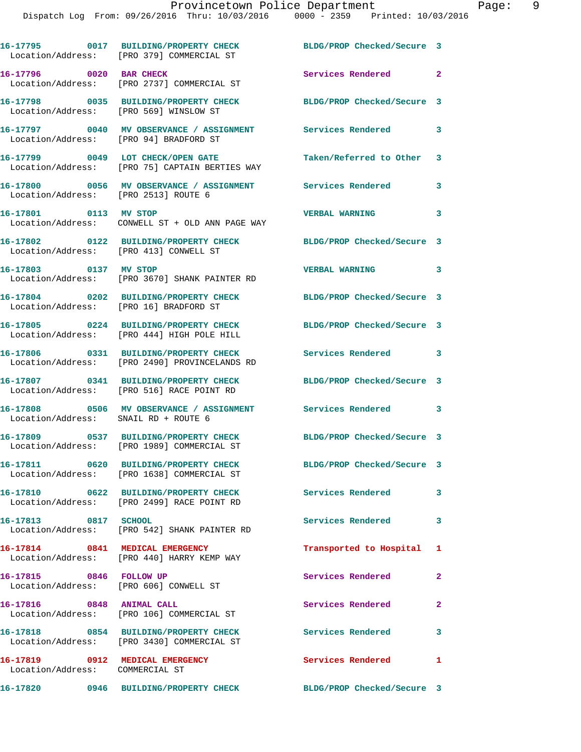|                                                                    | 16-17795 0017 BUILDING/PROPERTY CHECK<br>Location/Address: [PRO 379] COMMERCIAL ST     | BLDG/PROP Checked/Secure 3 |                |
|--------------------------------------------------------------------|----------------------------------------------------------------------------------------|----------------------------|----------------|
| 16-17796 0020 BAR CHECK                                            | Location/Address: [PRO 2737] COMMERCIAL ST                                             | Services Rendered 2        |                |
| Location/Address: [PRO 569] WINSLOW ST                             | 16-17798 0035 BUILDING/PROPERTY CHECK                                                  | BLDG/PROP Checked/Secure 3 |                |
| Location/Address: [PRO 94] BRADFORD ST                             | 16-17797 0040 MV OBSERVANCE / ASSIGNMENT Services Rendered                             |                            | 3              |
|                                                                    | 16-17799 0049 LOT CHECK/OPEN GATE<br>Location/Address: [PRO 75] CAPTAIN BERTIES WAY    | Taken/Referred to Other 3  |                |
| Location/Address: [PRO 2513] ROUTE 6                               | 16-17800 0056 MV OBSERVANCE / ASSIGNMENT Services Rendered                             |                            | 3              |
| 16-17801 0113 MV STOP                                              | Location/Address: CONWELL ST + OLD ANN PAGE WAY                                        | <b>VERBAL WARNING</b>      | 3              |
| Location/Address: [PRO 413] CONWELL ST                             | 16-17802 0122 BUILDING/PROPERTY CHECK                                                  | BLDG/PROP Checked/Secure 3 |                |
| 16-17803 0137 MV STOP                                              | Location/Address: [PRO 3670] SHANK PAINTER RD                                          | <b>VERBAL WARNING</b>      | 3              |
| Location/Address: [PRO 16] BRADFORD ST                             | 16-17804 0202 BUILDING/PROPERTY CHECK                                                  | BLDG/PROP Checked/Secure 3 |                |
|                                                                    | 16-17805 0224 BUILDING/PROPERTY CHECK<br>Location/Address: [PRO 444] HIGH POLE HILL    | BLDG/PROP Checked/Secure 3 |                |
|                                                                    | 16-17806 0331 BUILDING/PROPERTY CHECK<br>Location/Address: [PRO 2490] PROVINCELANDS RD | Services Rendered          | 3              |
|                                                                    | 16-17807 0341 BUILDING/PROPERTY CHECK<br>Location/Address: [PRO 516] RACE POINT RD     | BLDG/PROP Checked/Secure 3 |                |
| Location/Address: SNAIL RD + ROUTE 6                               | 16-17808 0506 MV OBSERVANCE / ASSIGNMENT                                               | Services Rendered          | 3              |
|                                                                    | 16-17809 0537 BUILDING/PROPERTY CHECK<br>Location/Address: [PRO 1989] COMMERCIAL ST    | BLDG/PROP Checked/Secure 3 |                |
| 16-17811                                                           | 0620 BUILDING/PROPERTY CHECK<br>Location/Address: [PRO 1638] COMMERCIAL ST             | BLDG/PROP Checked/Secure 3 |                |
|                                                                    | 16-17810 0622 BUILDING/PROPERTY CHECK<br>Location/Address: [PRO 2499] RACE POINT RD    | Services Rendered          | 3              |
| 16-17813 0817 SCHOOL                                               | Location/Address: [PRO 542] SHANK PAINTER RD                                           | Services Rendered          | 3              |
| 16-17814 0841 MEDICAL EMERGENCY                                    | Location/Address: [PRO 440] HARRY KEMP WAY                                             | Transported to Hospital 1  |                |
| 16-17815 0846 FOLLOW UP<br>Location/Address: [PRO 606] CONWELL ST  |                                                                                        | Services Rendered          | $\overline{2}$ |
| 16-17816 0848 ANIMAL CALL                                          | Location/Address: [PRO 106] COMMERCIAL ST                                              | Services Rendered          | $\mathbf{2}$   |
|                                                                    | 16-17818 0854 BUILDING/PROPERTY CHECK<br>Location/Address: [PRO 3430] COMMERCIAL ST    | Services Rendered          | 3              |
| 16-17819 0912 MEDICAL EMERGENCY<br>Location/Address: COMMERCIAL ST |                                                                                        | Services Rendered          | $\mathbf{1}$   |
|                                                                    | 16-17820 0946 BUILDING/PROPERTY CHECK BLDG/PROP Checked/Secure 3                       |                            |                |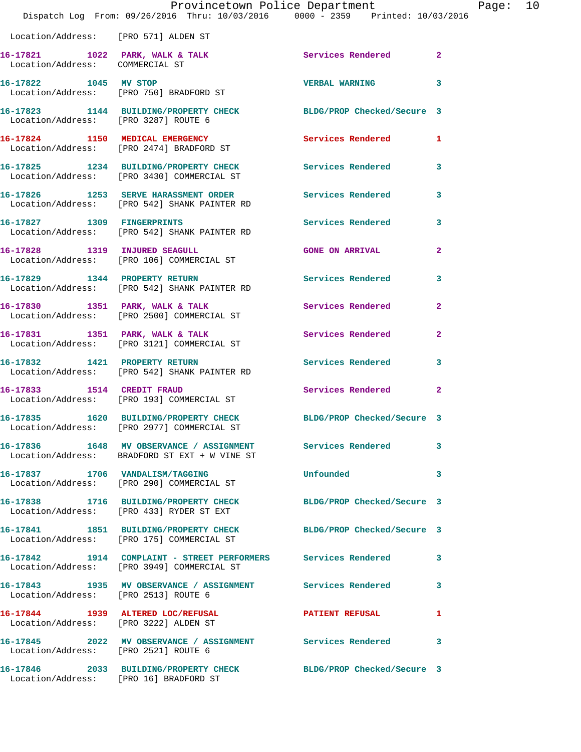|                                        | Provincetown Police Department                                                                              |                            |                |
|----------------------------------------|-------------------------------------------------------------------------------------------------------------|----------------------------|----------------|
|                                        | Dispatch Log From: 09/26/2016 Thru: 10/03/2016 0000 - 2359 Printed: 10/03/2016                              |                            |                |
| Location/Address: [PRO 571] ALDEN ST   |                                                                                                             |                            |                |
| Location/Address: COMMERCIAL ST        | 16-17821 1022 PARK, WALK & TALK 1999 Services Rendered                                                      |                            | $\overline{2}$ |
| 16-17822 1045 MV STOP                  | Location/Address: [PRO 750] BRADFORD ST                                                                     | <b>VERBAL WARNING</b>      | 3              |
| Location/Address: [PRO 3287] ROUTE 6   | 16-17823 1144 BUILDING/PROPERTY CHECK BLDG/PROP Checked/Secure 3                                            |                            |                |
|                                        | 16-17824 1150 MEDICAL EMERGENCY<br>Location/Address: [PRO 2474] BRADFORD ST                                 | Services Rendered          | 1              |
|                                        | 16-17825 1234 BUILDING/PROPERTY CHECK<br>Location/Address: [PRO 3430] COMMERCIAL ST                         | <b>Services Rendered</b>   | 3              |
|                                        | 16-17826 1253 SERVE HARASSMENT ORDER<br>Location/Address: [PRO 542] SHANK PAINTER RD                        | Services Rendered          | 3              |
|                                        | 16-17827 1309 FINGERPRINTS<br>Location/Address: [PRO 542] SHANK PAINTER RD                                  | Services Rendered          | 3              |
| 16-17828 1319 INJURED SEAGULL          | Location/Address: [PRO 106] COMMERCIAL ST                                                                   | <b>GONE ON ARRIVAL</b>     | $\overline{a}$ |
|                                        | 16-17829 1344 PROPERTY RETURN<br>Location/Address: [PRO 542] SHANK PAINTER RD                               | <b>Services Rendered</b>   | 3              |
|                                        | 16-17830 1351 PARK, WALK & TALK<br>Location/Address: [PRO 2500] COMMERCIAL ST                               | Services Rendered          | $\overline{a}$ |
|                                        | 16-17831 1351 PARK, WALK & TALK<br>Location/Address: [PRO 3121] COMMERCIAL ST                               | Services Rendered          | $\overline{2}$ |
|                                        | 16-17832 1421 PROPERTY RETURN<br>Location/Address: [PRO 542] SHANK PAINTER RD                               | Services Rendered          | 3              |
| 16-17833 1514 CREDIT FRAUD             | Location/Address: [PRO 193] COMMERCIAL ST                                                                   | Services Rendered          | $\overline{2}$ |
|                                        | Location/Address: [PRO 2977] COMMERCIAL ST                                                                  | BLDG/PROP Checked/Secure 3 |                |
|                                        | 16-17836 1648 MV OBSERVANCE / ASSIGNMENT Services Rendered<br>Location/Address: BRADFORD ST EXT + W VINE ST |                            | 3              |
|                                        | 16-17837 1706 VANDALISM/TAGGING<br>Location/Address: [PRO 290] COMMERCIAL ST                                | Unfounded                  | 3              |
|                                        | 16-17838 1716 BUILDING/PROPERTY CHECK<br>Location/Address: [PRO 433] RYDER ST EXT                           | BLDG/PROP Checked/Secure 3 |                |
|                                        | 16-17841 1851 BUILDING/PROPERTY CHECK<br>Location/Address: [PRO 175] COMMERCIAL ST                          | BLDG/PROP Checked/Secure 3 |                |
|                                        | 16-17842 1914 COMPLAINT - STREET PERFORMERS Services Rendered<br>Location/Address: [PRO 3949] COMMERCIAL ST |                            | 3              |
| Location/Address: [PRO 2513] ROUTE 6   | 16-17843 1935 MV OBSERVANCE / ASSIGNMENT Services Rendered                                                  |                            | 3              |
| Location/Address: [PRO 3222] ALDEN ST  | 16-17844 1939 ALTERED LOC/REFUSAL                                                                           | PATIENT REFUSAL            | 1              |
| Location/Address: [PRO 2521] ROUTE 6   | 16-17845 2022 MV OBSERVANCE / ASSIGNMENT Services Rendered                                                  |                            | 3              |
| Location/Address: [PRO 16] BRADFORD ST | 16-17846 2033 BUILDING/PROPERTY CHECK BLDG/PROP Checked/Secure 3                                            |                            |                |

Page: 10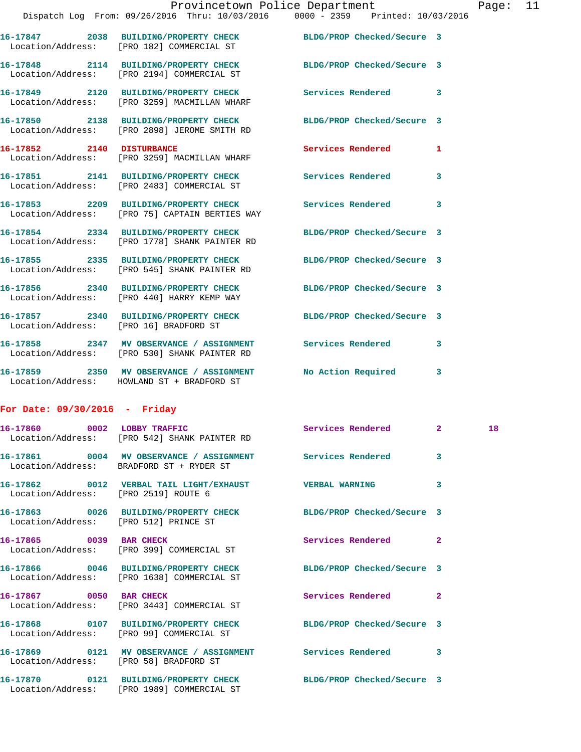|                                        | 16-17847 2038 BUILDING/PROPERTY CHECK BLDG/PROP Checked/Secure 3<br>Location/Address: [PRO 182] COMMERCIAL ST |                            |                         |
|----------------------------------------|---------------------------------------------------------------------------------------------------------------|----------------------------|-------------------------|
|                                        | 16-17848 2114 BUILDING/PROPERTY CHECK<br>Location/Address: [PRO 2194] COMMERCIAL ST                           | BLDG/PROP Checked/Secure 3 |                         |
|                                        | 16-17849 2120 BUILDING/PROPERTY CHECK<br>Location/Address: [PRO 3259] MACMILLAN WHARF                         | <b>Services Rendered</b>   | $\overline{\mathbf{3}}$ |
|                                        | 16-17850 2138 BUILDING/PROPERTY CHECK<br>Location/Address: [PRO 2898] JEROME SMITH RD                         | BLDG/PROP Checked/Secure 3 |                         |
| 16-17852 2140 DISTURBANCE              | Location/Address: [PRO 3259] MACMILLAN WHARF                                                                  | <b>Services Rendered</b>   | 1                       |
|                                        | 16-17851 2141 BUILDING/PROPERTY CHECK<br>Location/Address: [PRO 2483] COMMERCIAL ST                           | <b>Services Rendered</b>   | 3                       |
|                                        | 16-17853 2209 BUILDING/PROPERTY CHECK<br>Location/Address: [PRO 75] CAPTAIN BERTIES WAY                       | <b>Services Rendered</b>   | $\overline{3}$          |
|                                        | 16-17854 2334 BUILDING/PROPERTY CHECK<br>Location/Address: [PRO 1778] SHANK PAINTER RD                        | BLDG/PROP Checked/Secure 3 |                         |
|                                        | 16-17855 2335 BUILDING/PROPERTY CHECK<br>Location/Address: [PRO 545] SHANK PAINTER RD                         | BLDG/PROP Checked/Secure 3 |                         |
|                                        | 16-17856 2340 BUILDING/PROPERTY CHECK<br>Location/Address: [PRO 440] HARRY KEMP WAY                           | BLDG/PROP Checked/Secure 3 |                         |
| Location/Address: [PRO 16] BRADFORD ST | 16-17857 2340 BUILDING/PROPERTY CHECK                                                                         | BLDG/PROP Checked/Secure 3 |                         |
|                                        | 16-17858 2347 MV OBSERVANCE / ASSIGNMENT<br>Location/Address: [PRO 530] SHANK PAINTER RD                      | Services Rendered          | 3                       |
|                                        | 16-17859 2350 MV OBSERVANCE / ASSIGNMENT<br>Location/Address: HOWLAND ST + BRADFORD ST                        | No Action Required         | $\mathbf{3}$            |

## **For Date: 09/30/2016 - Friday**

|                                       | 16-17860 0002 LOBBY TRAFFIC Services Rendered 2<br>Location/Address: [PRO 542] SHANK PAINTER RD                |                          |                         | 18 |
|---------------------------------------|----------------------------------------------------------------------------------------------------------------|--------------------------|-------------------------|----|
|                                       | 16-17861 0004 MV OBSERVANCE / ASSIGNMENT Services Rendered 3<br>Location/Address: BRADFORD ST + RYDER ST       |                          |                         |    |
| Location/Address: [PRO 2519] ROUTE 6  | 16-17862 0012 VERBAL TAIL LIGHT/EXHAUST VERBAL WARNING                                                         |                          | $\overline{\mathbf{3}}$ |    |
| Location/Address: [PRO 512] PRINCE ST | 16-17863 0026 BUILDING/PROPERTY CHECK BLDG/PROP Checked/Secure 3                                               |                          |                         |    |
|                                       | Location/Address: [PRO 399] COMMERCIAL ST                                                                      |                          | $\overline{2}$          |    |
|                                       | 16-17866 0046 BUILDING/PROPERTY CHECK BLDG/PROP Checked/Secure 3<br>Location/Address: [PRO 1638] COMMERCIAL ST |                          |                         |    |
|                                       | 16-17867 0050 BAR CHECK<br>Location/Address: [PRO 3443] COMMERCIAL ST                                          | <b>Services Rendered</b> | $\overline{2}$          |    |
|                                       | 16-17868 0107 BUILDING/PROPERTY CHECK BLDG/PROP Checked/Secure 3<br>Location/Address: [PRO 99] COMMERCIAL ST   |                          |                         |    |
|                                       | 16-17869 0121 MV OBSERVANCE / ASSIGNMENT Services Rendered 3<br>Location/Address: [PRO 58] BRADFORD ST         |                          |                         |    |
|                                       | 16-17870 0121 BUILDING/PROPERTY CHECK BLDG/PROP Checked/Secure 3<br>Location/Address: [PRO 1989] COMMERCIAL ST |                          |                         |    |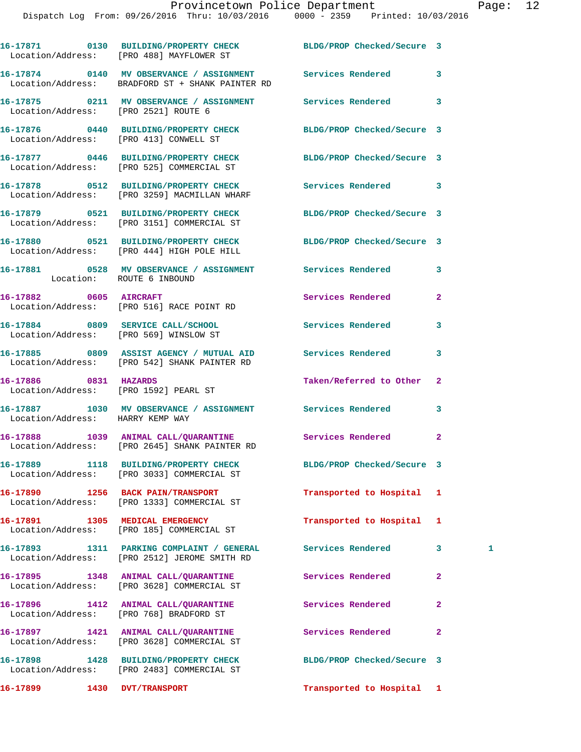|                                        | 16-17871 0130 BUILDING/PROPERTY CHECK BLDG/PROP Checked/Secure 3<br>Location/Address: [PRO 488] MAYFLOWER ST   |                            |                |   |
|----------------------------------------|----------------------------------------------------------------------------------------------------------------|----------------------------|----------------|---|
|                                        | 16-17874 0140 MV OBSERVANCE / ASSIGNMENT Services Rendered<br>Location/Address: BRADFORD ST + SHANK PAINTER RD |                            | 3              |   |
| Location/Address: [PRO 2521] ROUTE 6   | 16-17875 0211 MV OBSERVANCE / ASSIGNMENT Services Rendered                                                     |                            | 3              |   |
| Location/Address: [PRO 413] CONWELL ST | 16-17876 0440 BUILDING/PROPERTY CHECK BLDG/PROP Checked/Secure 3                                               |                            |                |   |
|                                        | 16-17877 0446 BUILDING/PROPERTY CHECK BLDG/PROP Checked/Secure 3<br>Location/Address: [PRO 525] COMMERCIAL ST  |                            |                |   |
|                                        | 16-17878 0512 BUILDING/PROPERTY CHECK<br>Location/Address: [PRO 3259] MACMILLAN WHARF                          | Services Rendered          | 3              |   |
|                                        | 16-17879 0521 BUILDING/PROPERTY CHECK<br>Location/Address: [PRO 3151] COMMERCIAL ST                            | BLDG/PROP Checked/Secure 3 |                |   |
|                                        | 16-17880 0521 BUILDING/PROPERTY CHECK BLDG/PROP Checked/Secure 3<br>Location/Address: [PRO 444] HIGH POLE HILL |                            |                |   |
| Location: ROUTE 6 INBOUND              | 16-17881 0528 MV OBSERVANCE / ASSIGNMENT Services Rendered                                                     |                            | 3              |   |
|                                        | 16-17882 0605 AIRCRAFT<br>Location/Address: [PRO 516] RACE POINT RD                                            | Services Rendered          | $\mathbf{2}$   |   |
|                                        | 16-17884 0809 SERVICE CALL/SCHOOL<br>Location/Address: [PRO 569] WINSLOW ST                                    | <b>Services Rendered</b>   | 3              |   |
|                                        | 16-17885 0809 ASSIST AGENCY / MUTUAL AID Services Rendered<br>Location/Address: [PRO 542] SHANK PAINTER RD     |                            | 3              |   |
| 16-17886 0831 HAZARDS                  | Location/Address: [PRO 1592] PEARL ST                                                                          | Taken/Referred to Other    | $\mathbf{2}$   |   |
| Location/Address: HARRY KEMP WAY       | 16-17887 1030 MV OBSERVANCE / ASSIGNMENT Services Rendered                                                     |                            | 3              |   |
|                                        | 16-17888 1039 ANIMAL CALL/QUARANTINE Services Rendered<br>Location/Address: [PRO 2645] SHANK PAINTER RD        |                            | $\mathbf{2}$   |   |
|                                        | 16-17889 1118 BUILDING/PROPERTY CHECK<br>Location/Address: [PRO 3033] COMMERCIAL ST                            | BLDG/PROP Checked/Secure 3 |                |   |
|                                        | 16-17890 1256 BACK PAIN/TRANSPORT<br>Location/Address: [PRO 1333] COMMERCIAL ST                                | Transported to Hospital    | 1              |   |
|                                        | 16-17891 1305 MEDICAL EMERGENCY<br>Location/Address: [PRO 185] COMMERCIAL ST                                   | Transported to Hospital    | 1              |   |
|                                        | 16-17893 1311 PARKING COMPLAINT / GENERAL<br>Location/Address: [PRO 2512] JEROME SMITH RD                      | <b>Services Rendered</b>   | 3              | 1 |
|                                        | 16-17895 1348 ANIMAL CALL/QUARANTINE<br>Location/Address: [PRO 3628] COMMERCIAL ST                             | <b>Services Rendered</b>   | $\mathbf{2}$   |   |
|                                        | 16-17896 1412 ANIMAL CALL/QUARANTINE<br>Location/Address: [PRO 768] BRADFORD ST                                | Services Rendered          | $\overline{a}$ |   |
|                                        | 16-17897 1421 ANIMAL CALL/QUARANTINE<br>Location/Address: [PRO 3628] COMMERCIAL ST                             | Services Rendered          | $\overline{a}$ |   |
|                                        | 16-17898 1428 BUILDING/PROPERTY CHECK<br>Location/Address: [PRO 2483] COMMERCIAL ST                            | BLDG/PROP Checked/Secure 3 |                |   |
| 16-17899 1430 DVT/TRANSPORT            |                                                                                                                | Transported to Hospital 1  |                |   |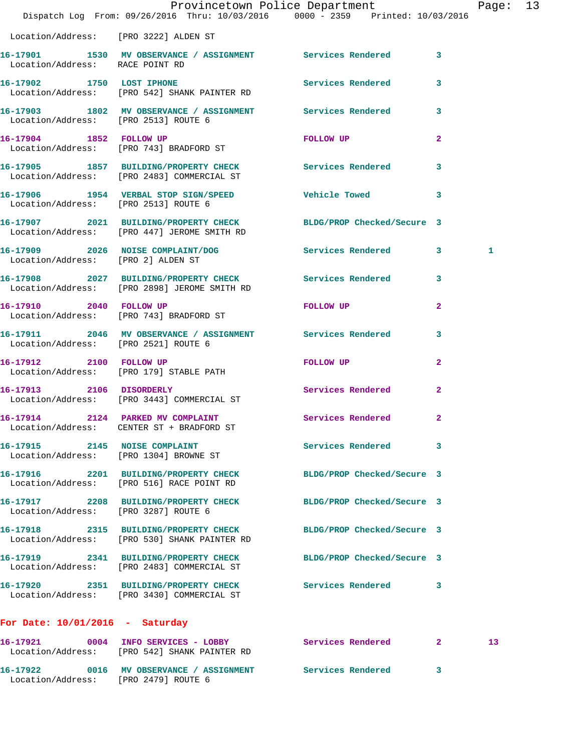|                                       | Provincetown Police Department<br>Dispatch Log From: 09/26/2016 Thru: 10/03/2016 0000 - 2359 Printed: 10/03/2016 |                            |                | Page: 13 |  |
|---------------------------------------|------------------------------------------------------------------------------------------------------------------|----------------------------|----------------|----------|--|
| Location/Address: [PRO 3222] ALDEN ST |                                                                                                                  |                            |                |          |  |
| Location/Address: RACE POINT RD       | 16-17901 1530 MV OBSERVANCE / ASSIGNMENT Services Rendered 3                                                     |                            |                |          |  |
|                                       | 16-17902 1750 LOST IPHONE<br>Location/Address: [PRO 542] SHANK PAINTER RD                                        | Services Rendered 3        |                |          |  |
| Location/Address: [PRO 2513] ROUTE 6  | 16-17903 1802 MV OBSERVANCE / ASSIGNMENT Services Rendered 3                                                     |                            |                |          |  |
|                                       | 16-17904 1852 FOLLOW UP<br>Location/Address: [PRO 743] BRADFORD ST                                               | FOLLOW UP                  | $\mathbf{2}$   |          |  |
|                                       | 16-17905 1857 BUILDING/PROPERTY CHECK Services Rendered 3<br>Location/Address: [PRO 2483] COMMERCIAL ST          |                            |                |          |  |
| Location/Address: [PRO 2513] ROUTE 6  | 16-17906 1954 VERBAL STOP SIGN/SPEED Vehicle Towed 3                                                             |                            |                |          |  |
|                                       | 16-17907 2021 BUILDING/PROPERTY CHECK BLDG/PROP Checked/Secure 3<br>Location/Address: [PRO 447] JEROME SMITH RD  |                            |                |          |  |
| Location/Address: [PRO 2] ALDEN ST    | 16-17909 2026 NOISE COMPLAINT/DOG Services Rendered 3                                                            |                            |                | 1        |  |
|                                       | 16-17908 2027 BUILDING/PROPERTY CHECK Services Rendered 3<br>Location/Address: [PRO 2898] JEROME SMITH RD        |                            |                |          |  |
|                                       | 16-17910 2040 FOLLOW UP<br>Location/Address: [PRO 743] BRADFORD ST                                               | FOLLOW UP NOTES            | $\mathbf{2}$   |          |  |
| Location/Address: [PRO 2521] ROUTE 6  | 16-17911 2046 MV OBSERVANCE / ASSIGNMENT Services Rendered                                                       |                            | 3              |          |  |
|                                       | 16-17912 2100 FOLLOW UP<br>Location/Address: [PRO 179] STABLE PATH                                               | FOLLOW UP                  | $\overline{2}$ |          |  |
| 16-17913 2106 DISORDERLY              | Location/Address: [PRO 3443] COMMERCIAL ST                                                                       | <b>Services Rendered</b>   | $\overline{2}$ |          |  |
| Location/Address:                     | 16-17914 2124 PARKED MV COMPLAINT Services Rendered 2<br>CENTER ST + BRADFORD ST                                 |                            |                |          |  |
| 16-17915 2145 NOISE COMPLAINT         | Location/Address: [PRO 1304] BROWNE ST                                                                           | Services Rendered 3        |                |          |  |
|                                       | 16-17916 2201 BUILDING/PROPERTY CHECK<br>Location/Address: [PRO 516] RACE POINT RD                               | BLDG/PROP Checked/Secure 3 |                |          |  |
| Location/Address: [PRO 3287] ROUTE 6  | 16-17917 2208 BUILDING/PROPERTY CHECK BLDG/PROP Checked/Secure 3                                                 |                            |                |          |  |
|                                       | 16-17918 2315 BUILDING/PROPERTY CHECK<br>Location/Address: [PRO 530] SHANK PAINTER RD                            | BLDG/PROP Checked/Secure 3 |                |          |  |
|                                       | 16-17919 2341 BUILDING/PROPERTY CHECK<br>Location/Address: [PRO 2483] COMMERCIAL ST                              | BLDG/PROP Checked/Secure 3 |                |          |  |
|                                       | 16-17920 2351 BUILDING/PROPERTY CHECK Services Rendered 3<br>Location/Address: [PRO 3430] COMMERCIAL ST          |                            |                |          |  |
| For Date: $10/01/2016$ - Saturday     |                                                                                                                  |                            |                |          |  |
|                                       | 16-17921 0004 INFO SERVICES - LOBBY<br>Location/Address: [PRO 542] SHANK PAINTER RD                              | Services Rendered 2        |                | 13       |  |
|                                       |                                                                                                                  |                            |                |          |  |

**16-17922 0016 MV OBSERVANCE / ASSIGNMENT Services Rendered 3** 

Location/Address: [PRO 2479] ROUTE 6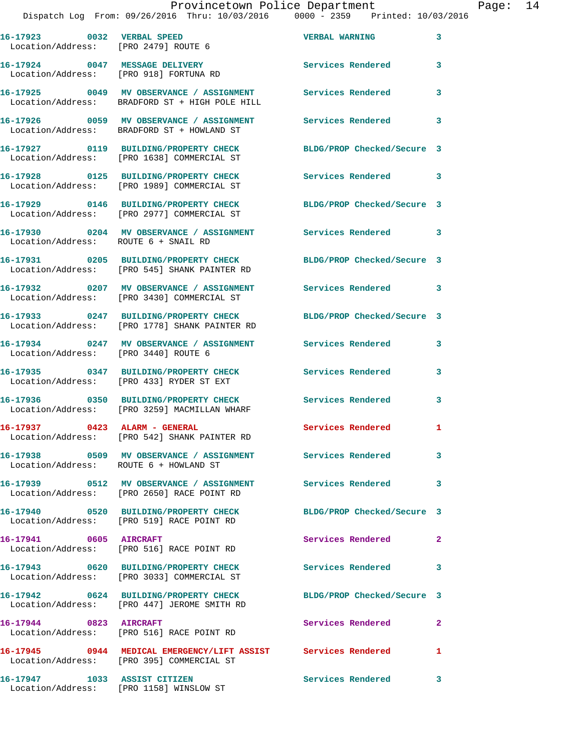## Provincetown Police Department<br>16 Thru: 10/03/2016 0000 - 2359 Printed: 10/03/2016

|                                                                          | Dispatch Log From: 09/26/2016 Thru: 10/03/2016 0000 - 2359 Printed: 10/03/2016                                   |                            |                |
|--------------------------------------------------------------------------|------------------------------------------------------------------------------------------------------------------|----------------------------|----------------|
| 16-17923 0032 VERBAL SPEED<br>Location/Address: [PRO 2479] ROUTE 6       |                                                                                                                  | <b>VERBAL WARNING</b>      | 3              |
| 16-17924 0047 MESSAGE DELIVERY<br>Location/Address: [PRO 918] FORTUNA RD |                                                                                                                  | <b>Services Rendered</b>   | 3              |
|                                                                          | 16-17925 0049 MV OBSERVANCE / ASSIGNMENT Services Rendered<br>Location/Address: BRADFORD ST + HIGH POLE HILL     |                            | 3              |
|                                                                          | 16-17926 0059 MV OBSERVANCE / ASSIGNMENT<br>Location/Address: BRADFORD ST + HOWLAND ST                           | <b>Services Rendered</b>   | 3              |
|                                                                          | 16-17927 0119 BUILDING/PROPERTY CHECK<br>Location/Address: [PRO 1638] COMMERCIAL ST                              | BLDG/PROP Checked/Secure 3 |                |
|                                                                          | 16-17928 0125 BUILDING/PROPERTY CHECK<br>Location/Address: [PRO 1989] COMMERCIAL ST                              | <b>Services Rendered</b>   | 3              |
|                                                                          | 16-17929 0146 BUILDING/PROPERTY CHECK<br>Location/Address: [PRO 2977] COMMERCIAL ST                              | BLDG/PROP Checked/Secure 3 |                |
| Location/Address: ROUTE 6 + SNAIL RD                                     | 16-17930 0204 MV OBSERVANCE / ASSIGNMENT Services Rendered                                                       |                            | 3              |
|                                                                          | 16-17931 0205 BUILDING/PROPERTY CHECK BLDG/PROP Checked/Secure 3<br>Location/Address: [PRO 545] SHANK PAINTER RD |                            |                |
|                                                                          | 16-17932 0207 MV OBSERVANCE / ASSIGNMENT<br>Location/Address: [PRO 3430] COMMERCIAL ST                           | Services Rendered          | 3              |
|                                                                          | 16-17933 0247 BUILDING/PROPERTY CHECK<br>Location/Address: [PRO 1778] SHANK PAINTER RD                           | BLDG/PROP Checked/Secure 3 |                |
| Location/Address: [PRO 3440] ROUTE 6                                     | 16-17934 0247 MV OBSERVANCE / ASSIGNMENT Services Rendered                                                       |                            | 3              |
|                                                                          | 16-17935 0347 BUILDING/PROPERTY CHECK<br>Location/Address: [PRO 433] RYDER ST EXT                                | <b>Services Rendered</b>   | 3              |
|                                                                          | 16-17936 0350 BUILDING/PROPERTY CHECK<br>Location/Address: [PRO 3259] MACMILLAN WHARF                            | <b>Services Rendered</b>   | 3              |
| 16-17937 0423 ALARM - GENERAL                                            | Location/Address: [PRO 542] SHANK PAINTER RD                                                                     | Services Rendered          | 1              |
| Location/Address: ROUTE 6 + HOWLAND ST                                   | 16-17938 0509 MV OBSERVANCE / ASSIGNMENT Services Rendered                                                       |                            | 3              |
|                                                                          | 16-17939 0512 MV OBSERVANCE / ASSIGNMENT Services Rendered<br>Location/Address: [PRO 2650] RACE POINT RD         |                            | 3              |
|                                                                          | 16-17940 0520 BUILDING/PROPERTY CHECK<br>Location/Address: [PRO 519] RACE POINT RD                               | BLDG/PROP Checked/Secure 3 |                |
| 16-17941 0605 AIRCRAFT                                                   | Location/Address: [PRO 516] RACE POINT RD                                                                        | Services Rendered          | $\overline{a}$ |
|                                                                          | 16-17943 0620 BUILDING/PROPERTY CHECK<br>Location/Address: [PRO 3033] COMMERCIAL ST                              | Services Rendered          | 3              |
|                                                                          | 16-17942 0624 BUILDING/PROPERTY CHECK<br>Location/Address: [PRO 447] JEROME SMITH RD                             | BLDG/PROP Checked/Secure 3 |                |
| 16-17944 0823 AIRCRAFT                                                   | Location/Address: [PRO 516] RACE POINT RD                                                                        | Services Rendered          | $\mathbf{2}$   |
|                                                                          | 16-17945 0944 MEDICAL EMERGENCY/LIFT ASSIST Services Rendered<br>Location/Address: [PRO 395] COMMERCIAL ST       |                            | 1              |
| 16-17947 1033 ASSIST CITIZEN                                             |                                                                                                                  | <b>Services Rendered</b>   | 3              |

Location/Address: [PRO 1158] WINSLOW ST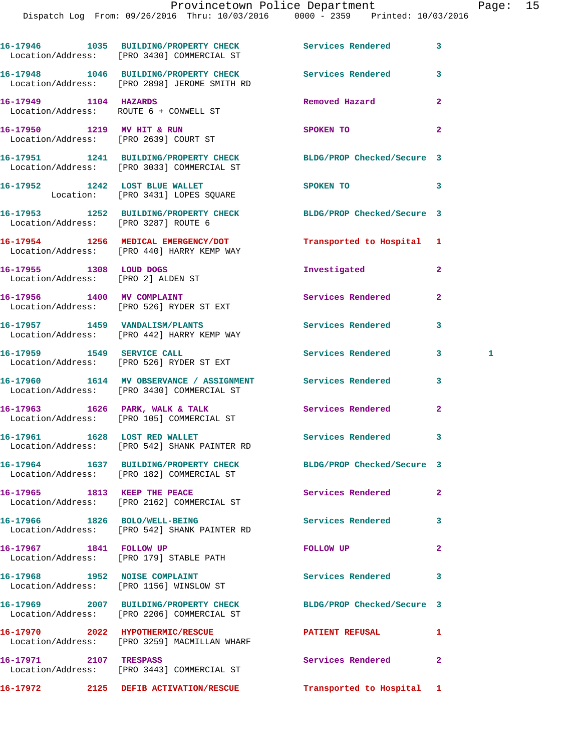|                              | 16-17946 1035 BUILDING/PROPERTY CHECK Services Rendered<br>Location/Address: [PRO 3430] COMMERCIAL ST          |                            | 3              |
|------------------------------|----------------------------------------------------------------------------------------------------------------|----------------------------|----------------|
|                              | 16-17948 1046 BUILDING/PROPERTY CHECK Services Rendered<br>Location/Address: [PRO 2898] JEROME SMITH RD        |                            | 3              |
| 16-17949 1104 HAZARDS        | Location/Address: ROUTE 6 + CONWELL ST                                                                         | Removed Hazard             | $\mathbf{2}$   |
|                              | 16-17950 1219 MV HIT & RUN<br>Location/Address: [PRO 2639] COURT ST                                            | SPOKEN TO                  | $\overline{2}$ |
|                              | 16-17951 1241 BUILDING/PROPERTY CHECK BLDG/PROP Checked/Secure 3<br>Location/Address: [PRO 3033] COMMERCIAL ST |                            |                |
|                              | 16-17952 1242 LOST BLUE WALLET<br>Location: [PRO 3431] LOPES SQUARE                                            | SPOKEN TO                  | 3              |
|                              | 16-17953 1252 BUILDING/PROPERTY CHECK BLDG/PROP Checked/Secure 3<br>Location/Address: [PRO 3287] ROUTE 6       |                            |                |
|                              | 16-17954 1256 MEDICAL EMERGENCY/DOT<br>Location/Address: [PRO 440] HARRY KEMP WAY                              | Transported to Hospital 1  |                |
| 16-17955 1308 LOUD DOGS      | Location/Address: [PRO 2] ALDEN ST                                                                             | Investigated               | $\overline{a}$ |
|                              | 16-17956 1400 MV COMPLAINT<br>Location/Address: [PRO 526] RYDER ST EXT                                         | Services Rendered          | $\overline{a}$ |
|                              | 16-17957 1459 VANDALISM/PLANTS<br>Location/Address: [PRO 442] HARRY KEMP WAY                                   | Services Rendered          | 3              |
|                              | 16-17959 1549 SERVICE CALL<br>Location/Address: [PRO 526] RYDER ST EXT                                         | Services Rendered          | 3<br>1         |
|                              | 16-17960 1614 MV OBSERVANCE / ASSIGNMENT Services Rendered<br>Location/Address: [PRO 3430] COMMERCIAL ST       |                            | 3              |
|                              | 16-17963 1626 PARK, WALK & TALK<br>Location/Address: [PRO 105] COMMERCIAL ST                                   | Services Rendered          | $\overline{2}$ |
|                              | 16-17961 1628 LOST RED WALLET<br>Location/Address: [PRO 542] SHANK PAINTER RD                                  | Services Rendered          | 3              |
|                              | 16-17964 1637 BUILDING/PROPERTY CHECK<br>Location/Address: [PRO 182] COMMERCIAL ST                             | BLDG/PROP Checked/Secure 3 |                |
| 16-17965 1813 KEEP THE PEACE | Location/Address: [PRO 2162] COMMERCIAL ST                                                                     | Services Rendered          | $\mathbf{2}$   |
|                              | 16-17966 1826 BOLO/WELL-BEING<br>Location/Address: [PRO 542] SHANK PAINTER RD                                  | <b>Services Rendered</b>   | 3              |
| 16-17967 1841 FOLLOW UP      | Location/Address: [PRO 179] STABLE PATH                                                                        | FOLLOW UP                  | $\mathbf{2}$   |
|                              | 16-17968 1952 NOISE COMPLAINT<br>Location/Address: [PRO 1156] WINSLOW ST                                       | Services Rendered          | 3              |
|                              | 16-17969 2007 BUILDING/PROPERTY CHECK<br>Location/Address: [PRO 2206] COMMERCIAL ST                            | BLDG/PROP Checked/Secure 3 |                |
|                              | 16-17970 2022 HYPOTHERMIC/RESCUE<br>Location/Address: [PRO 3259] MACMILLAN WHARF                               | <b>PATIENT REFUSAL</b>     | 1              |
| 16-17971 2107 TRESPASS       | Location/Address: [PRO 3443] COMMERCIAL ST                                                                     | Services Rendered          | $\mathbf{2}$   |
|                              | 16-17972 2125 DEFIB ACTIVATION/RESCUE                                                                          | Transported to Hospital 1  |                |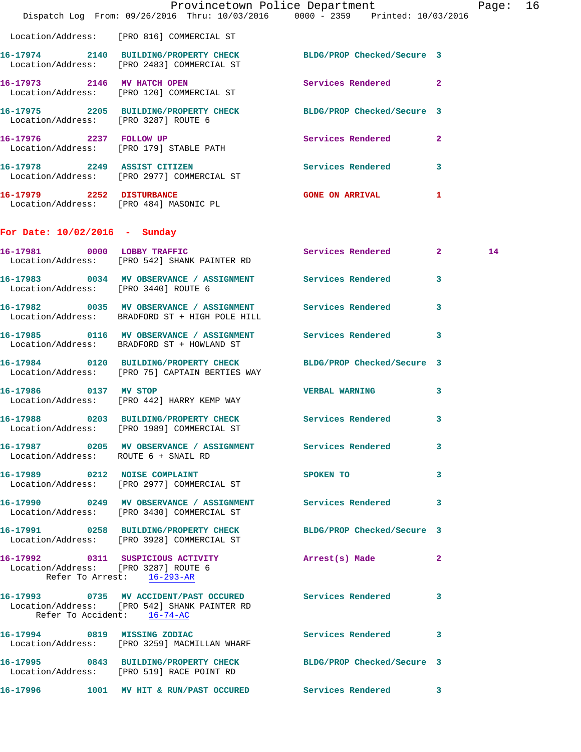|                                                                    | Dispatch Log From: 09/26/2016 Thru: 10/03/2016 0000 - 2359 Printed: 10/03/2016                                     | Provincetown Police Department          |              | Page: 16 |  |
|--------------------------------------------------------------------|--------------------------------------------------------------------------------------------------------------------|-----------------------------------------|--------------|----------|--|
|                                                                    | Location/Address: [PRO 816] COMMERCIAL ST                                                                          |                                         |              |          |  |
|                                                                    | 16-17974 2140 BUILDING/PROPERTY CHECK BLDG/PROP Checked/Secure 3<br>Location/Address: [PRO 2483] COMMERCIAL ST     |                                         |              |          |  |
|                                                                    | 16-17973 2146 MV HATCH OPEN<br>Location/Address: [PRO 120] COMMERCIAL ST                                           | Services Rendered 2                     |              |          |  |
| Location/Address: [PRO 3287] ROUTE 6                               | 16-17975 2205 BUILDING/PROPERTY CHECK BLDG/PROP Checked/Secure 3                                                   |                                         |              |          |  |
|                                                                    | 16-17976 2237 FOLLOW UP<br>Location/Address: [PRO 179] STABLE PATH                                                 | Services Rendered 2                     |              |          |  |
|                                                                    | 16-17978 2249 ASSIST CITIZEN<br>Location/Address: [PRO 2977] COMMERCIAL ST                                         | Services Rendered 3                     |              |          |  |
|                                                                    | 16-17979 2252 DISTURBANCE<br>Location/Address: [PRO 484] MASONIC PL                                                | <b>GONE ON ARRIVAL</b>                  | $\mathbf{1}$ |          |  |
| For Date: $10/02/2016$ - Sunday                                    |                                                                                                                    |                                         |              |          |  |
|                                                                    | 16-17981 0000 LOBBY TRAFFIC<br>Location/Address: [PRO 542] SHANK PAINTER RD                                        | Services Rendered 2                     |              | 14       |  |
| Location/Address: [PRO 3440] ROUTE 6                               | 16-17983 0034 MV OBSERVANCE / ASSIGNMENT Services Rendered 3                                                       |                                         |              |          |  |
|                                                                    | 16-17982 0035 MV OBSERVANCE / ASSIGNMENT Services Rendered 3<br>Location/Address: BRADFORD ST + HIGH POLE HILL     |                                         |              |          |  |
|                                                                    | 16-17985 0116 MV OBSERVANCE / ASSIGNMENT Services Rendered 3<br>Location/Address: BRADFORD ST + HOWLAND ST         |                                         |              |          |  |
|                                                                    | 16-17984 0120 BUILDING/PROPERTY CHECK BLDG/PROP Checked/Secure 3<br>Location/Address: [PRO 75] CAPTAIN BERTIES WAY |                                         |              |          |  |
| 16-17986 0137 MV STOP                                              | Location/Address: [PRO 442] HARRY KEMP WAY                                                                         | <b>VERBAL WARNING</b>                   | 3            |          |  |
|                                                                    | 16-17988 0203 BUILDING/PROPERTY CHECK Services Rendered 3<br>Location/Address: [PRO 1989] COMMERCIAL ST            |                                         |              |          |  |
| Location/Address: ROUTE 6 + SNAIL RD                               | 16-17987 0205 MV OBSERVANCE / ASSIGNMENT Services Rendered 3                                                       |                                         |              |          |  |
|                                                                    | 16-17989 0212 NOISE COMPLAINT<br>Location/Address: [PRO 2977] COMMERCIAL ST                                        | SPOKEN TO<br>$\overline{\phantom{a}}$ 3 |              |          |  |
|                                                                    | 16-17990 0249 MV OBSERVANCE / ASSIGNMENT Services Rendered 3<br>Location/Address: [PRO 3430] COMMERCIAL ST         |                                         |              |          |  |
|                                                                    | 16-17991 0258 BUILDING/PROPERTY CHECK BLDG/PROP Checked/Secure 3<br>Location/Address: [PRO 3928] COMMERCIAL ST     |                                         |              |          |  |
| Location/Address: [PRO 3287] ROUTE 6<br>Refer To Arrest: 16-293-AR | 16-17992 0311 SUSPICIOUS ACTIVITY                                                                                  | Arrest(s) Made 2                        |              |          |  |
| Refer To Accident: 16-74-AC                                        | 16-17993 0735 MV ACCIDENT/PAST OCCURED Services Rendered 3<br>Location/Address: [PRO 542] SHANK PAINTER RD         |                                         |              |          |  |
|                                                                    | 16-17994 0819 MISSING ZODIAC<br>Location/Address: [PRO 3259] MACMILLAN WHARF                                       | Services Rendered 3                     |              |          |  |
|                                                                    | 16-17995 0843 BUILDING/PROPERTY CHECK BLDG/PROP Checked/Secure 3<br>Location/Address: [PRO 519] RACE POINT RD      |                                         |              |          |  |
|                                                                    | 16-17996 1001 MV HIT & RUN/PAST OCCURED Services Rendered 3                                                        |                                         |              |          |  |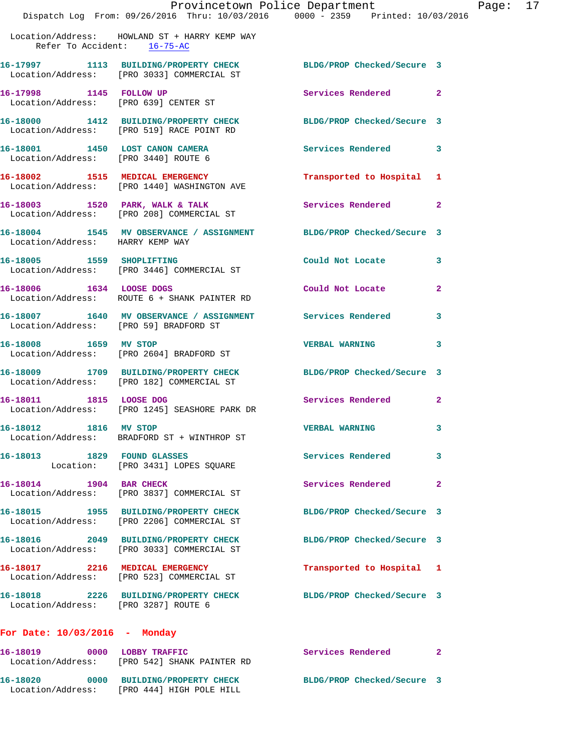**16-17998 1145 FOLLOW UP Services Rendered 2** 

Location/Address: [PRO 639] CENTER ST

**16-18000 1412 BUILDING/PROPERTY CHECK BLDG/PROP Checked/Secure 3**  Location/Address: [PRO 519] RACE POINT RD **16-18001 1450 LOST CANON CAMERA Services Rendered 3**  Location/Address: [PRO 3440] ROUTE 6 **16-18002 1515 MEDICAL EMERGENCY Transported to Hospital 1**  Location/Address: [PRO 1440] WASHINGTON AVE **16-18003 1520 PARK, WALK & TALK Services Rendered 2**  Location/Address: [PRO 208] COMMERCIAL ST **16-18004 1545 MV OBSERVANCE / ASSIGNMENT BLDG/PROP Checked/Secure 3**  Location/Address: HARRY KEMP WAY **16-18005 1559 SHOPLIFTING Could Not Locate 3**  Location/Address: [PRO 3446] COMMERCIAL ST **16-18006 1634 LOOSE DOGS Could Not Locate 2**  Location/Address: ROUTE 6 + SHANK PAINTER RD **16-18007 1640 MV OBSERVANCE / ASSIGNMENT Services Rendered 3**  Location/Address: [PRO 59] BRADFORD ST **16-18008 1659 MV STOP VERBAL WARNING 3**  Location/Address: [PRO 2604] BRADFORD ST **16-18009 1709 BUILDING/PROPERTY CHECK BLDG/PROP Checked/Secure 3**  Location/Address: [PRO 182] COMMERCIAL ST **16-18011 1815 LOOSE DOG Services Rendered 2**  Location/Address: [PRO 1245] SEASHORE PARK DR **16-18012 1816 MV STOP VERBAL WARNING 3**  Location/Address: BRADFORD ST + WINTHROP ST **16-18013 1829 FOUND GLASSES Services Rendered 3**  Location: [PRO 3431] LOPES SQUARE **16-18014 1904 BAR CHECK Services Rendered 2**  Location/Address: [PRO 3837] COMMERCIAL ST **16-18015 1955 BUILDING/PROPERTY CHECK BLDG/PROP Checked/Secure 3**  Location/Address: [PRO 2206] COMMERCIAL ST **16-18016 2049 BUILDING/PROPERTY CHECK BLDG/PROP Checked/Secure 3**  Location/Address: [PRO 3033] COMMERCIAL ST **16-18017 2216 MEDICAL EMERGENCY Transported to Hospital 1**  Location/Address: [PRO 523] COMMERCIAL ST **16-18018 2226 BUILDING/PROPERTY CHECK BLDG/PROP Checked/Secure 3**  Location/Address: [PRO 3287] ROUTE 6

## **For Date: 10/03/2016 - Monday**

| 16–18019<br>Location/Address: | 0000 | LOBBY TRAFFIC<br>[PRO 542] SHANK PAINTER RD               | Services Rendered          |  |
|-------------------------------|------|-----------------------------------------------------------|----------------------------|--|
| 16-18020<br>Location/Address: | 0000 | <b>BUILDING/PROPERTY CHECK</b><br>FRO 4441 HIGH POLE HILL | BLDG/PROP Checked/Secure 3 |  |